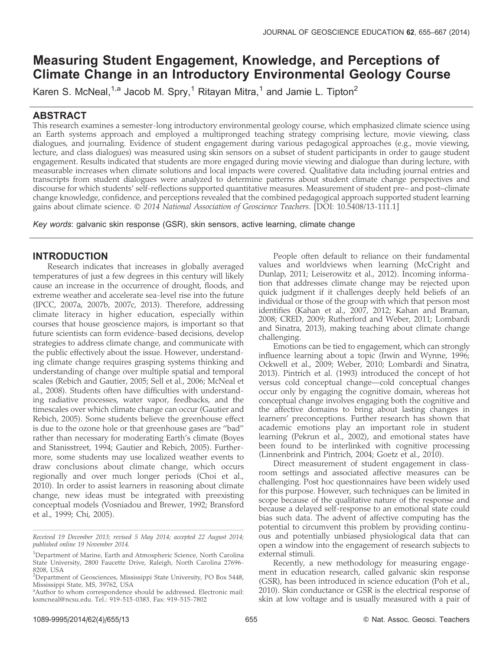# Measuring Student Engagement, Knowledge, and Perceptions of Climate Change in an Introductory Environmental Geology Course

Karen S. McNeal,<sup>1,a</sup> Jacob M. Spry,<sup>1</sup> Ritayan Mitra,<sup>1</sup> and Jamie L. Tipton<sup>2</sup>

# ABSTRACT

This research examines a semester-long introductory environmental geology course, which emphasized climate science using an Earth systems approach and employed a multipronged teaching strategy comprising lecture, movie viewing, class dialogues, and journaling. Evidence of student engagement during various pedagogical approaches (e.g., movie viewing, lecture, and class dialogues) was measured using skin sensors on a subset of student participants in order to gauge student engagement. Results indicated that students are more engaged during movie viewing and dialogue than during lecture, with measurable increases when climate solutions and local impacts were covered. Qualitative data including journal entries and transcripts from student dialogues were analyzed to determine patterns about student climate change perspectives and discourse for which students' self-reflections supported quantitative measures. Measurement of student pre– and post–climate change knowledge, confidence, and perceptions revealed that the combined pedagogical approach supported student learning gains about climate science. © 2014 National Association of Geoscience Teachers. [DOI: 10.5408/13-111.1]

Key words: galvanic skin response (GSR), skin sensors, active learning, climate change

# INTRODUCTION

Research indicates that increases in globally averaged temperatures of just a few degrees in this century will likely cause an increase in the occurrence of drought, floods, and extreme weather and accelerate sea-level rise into the future (IPCC, 2007a, 2007b, 2007c, 2013). Therefore, addressing climate literacy in higher education, especially within courses that house geoscience majors, is important so that future scientists can form evidence-based decisions, develop strategies to address climate change, and communicate with the public effectively about the issue. However, understanding climate change requires grasping systems thinking and understanding of change over multiple spatial and temporal scales (Rebich and Gautier, 2005; Sell et al., 2006; McNeal et al., 2008). Students often have difficulties with understanding radiative processes, water vapor, feedbacks, and the timescales over which climate change can occur (Gautier and Rebich, 2005). Some students believe the greenhouse effect is due to the ozone hole or that greenhouse gases are ''bad'' rather than necessary for moderating Earth's climate (Boyes and Stanisstreet, 1994; Gautier and Rebich, 2005). Furthermore, some students may use localized weather events to draw conclusions about climate change, which occurs regionally and over much longer periods (Choi et al., 2010). In order to assist learners in reasoning about climate change, new ideas must be integrated with preexisting conceptual models (Vosniadou and Brewer, 1992; Bransford et al., 1999; Chi, 2005).

People often default to reliance on their fundamental values and worldviews when learning (McCright and Dunlap, 2011; Leiserowitz et al., 2012). Incoming information that addresses climate change may be rejected upon quick judgment if it challenges deeply held beliefs of an individual or those of the group with which that person most identifies (Kahan et al., 2007, 2012; Kahan and Braman, 2008; CRED, 2009; Rutherford and Weber, 2011; Lombardi and Sinatra, 2013), making teaching about climate change challenging.

Emotions can be tied to engagement, which can strongly influence learning about a topic (Irwin and Wynne, 1996; Ockwell et al., 2009; Weber, 2010; Lombardi and Sinatra, 2013). Pintrich et al. (1993) introduced the concept of hot versus cold conceptual change—cold conceptual changes occur only by engaging the cognitive domain, whereas hot conceptual change involves engaging both the cognitive and the affective domains to bring about lasting changes in learners' preconceptions. Further research has shown that academic emotions play an important role in student learning (Pekrun et al., 2002), and emotional states have been found to be interlinked with cognitive processing (Linnenbrink and Pintrich, 2004; Goetz et al., 2010).

Direct measurement of student engagement in classroom settings and associated affective measures can be challenging. Post hoc questionnaires have been widely used for this purpose. However, such techniques can be limited in scope because of the qualitative nature of the response and because a delayed self-response to an emotional state could bias such data. The advent of affective computing has the potential to circumvent this problem by providing continuous and potentially unbiased physiological data that can open a window into the engagement of research subjects to external stimuli.

Recently, a new methodology for measuring engagement in education research, called galvanic skin response (GSR), has been introduced in science education (Poh et al., 2010). Skin conductance or GSR is the electrical response of skin at low voltage and is usually measured with a pair of

Received 19 December 2013; revised 5 May 2014; accepted 22 August 2014; published online 19 November 2014.

<sup>&</sup>lt;sup>1</sup>Department of Marine, Earth and Atmospheric Science, North Carolina State University, 2800 Faucette Drive, Raleigh, North Carolina 27696- 8208, USA

<sup>&</sup>lt;sup>2</sup>Department of Geosciences, Mississippi State University, PO Box 5448, Mississippi State, MS, 39762, USA

<sup>&</sup>lt;sup>a</sup>Author to whom correspondence should be addressed. Electronic mail: ksmcneal@ncsu.edu. Tel.: 919-515-0383. Fax: 919-515-7802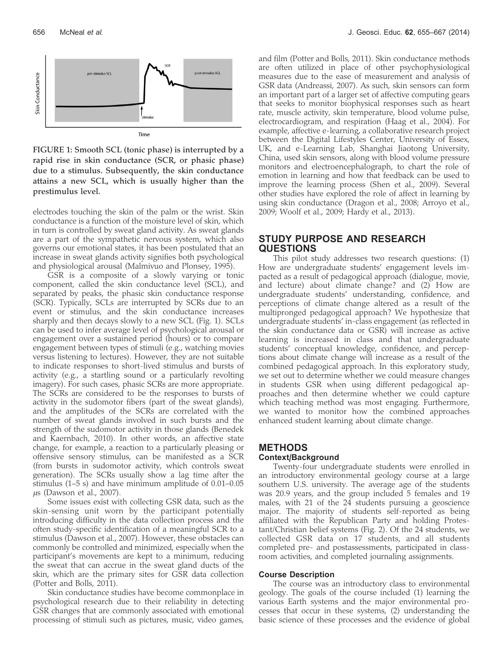

FIGURE 1: Smooth SCL (tonic phase) is interrupted by a rapid rise in skin conductance (SCR, or phasic phase) due to a stimulus. Subsequently, the skin conductance attains a new SCL, which is usually higher than the prestimulus level.

electrodes touching the skin of the palm or the wrist. Skin conductance is a function of the moisture level of skin, which in turn is controlled by sweat gland activity. As sweat glands are a part of the sympathetic nervous system, which also governs our emotional states, it has been postulated that an increase in sweat glands activity signifies both psychological and physiological arousal (Malmivuo and Plonsey, 1995).

GSR is a composite of a slowly varying or tonic component, called the skin conductance level (SCL), and separated by peaks, the phasic skin conductance response (SCR). Typically, SCLs are interrupted by SCRs due to an event or stimulus, and the skin conductance increases sharply and then decays slowly to a new SCL (Fig. 1). SCLs can be used to infer average level of psychological arousal or engagement over a sustained period (hours) or to compare engagement between types of stimuli (e.g., watching movies versus listening to lectures). However, they are not suitable to indicate responses to short-lived stimulus and bursts of activity (e.g., a startling sound or a particularly revolting imagery). For such cases, phasic SCRs are more appropriate. The SCRs are considered to be the responses to bursts of activity in the sudomotor fibers (part of the sweat glands), and the amplitudes of the SCRs are correlated with the number of sweat glands involved in such bursts and the strength of the sudomotor activity in those glands (Benedek and Kaernbach, 2010). In other words, an affective state change, for example, a reaction to a particularly pleasing or offensive sensory stimulus, can be manifested as a SCR (from bursts in sudomotor activity, which controls sweat generation). The SCRs usually show a lag time after the stimulus (1–5 s) and have minimum amplitude of 0.01–0.05  $\mu$ s (Dawson et al., 2007).

Some issues exist with collecting GSR data, such as the skin-sensing unit worn by the participant potentially introducing difficulty in the data collection process and the often study-specific identification of a meaningful SCR to a stimulus (Dawson et al., 2007). However, these obstacles can commonly be controlled and minimized, especially when the participant's movements are kept to a minimum, reducing the sweat that can accrue in the sweat gland ducts of the skin, which are the primary sites for GSR data collection (Potter and Bolls, 2011).

Skin conductance studies have become commonplace in psychological research due to their reliability in detecting GSR changes that are commonly associated with emotional processing of stimuli such as pictures, music, video games,

and film (Potter and Bolls, 2011). Skin conductance methods are often utilized in place of other psychophysiological measures due to the ease of measurement and analysis of GSR data (Andreassi, 2007). As such, skin sensors can form an important part of a larger set of affective computing gears that seeks to monitor biophysical responses such as heart rate, muscle activity, skin temperature, blood volume pulse, electrocardiogram, and respiration (Haag et al., 2004). For example, affective e-learning, a collaborative research project between the Digital Lifestyles Center, University of Essex, UK, and e-Learning Lab, Shanghai Jiaotong University, China, used skin sensors, along with blood volume pressure monitors and electroencephalograph, to chart the role of emotion in learning and how that feedback can be used to improve the learning process (Shen et al., 2009). Several other studies have explored the role of affect in learning by using skin conductance (Dragon et al., 2008; Arroyo et al., 2009; Woolf et al., 2009; Hardy et al., 2013).

## STUDY PURPOSE AND RESEARCH QUESTIONS

This pilot study addresses two research questions: (1) How are undergraduate students' engagement levels impacted as a result of pedagogical approach (dialogue, movie, and lecture) about climate change? and (2) How are undergraduate students' understanding, confidence, and perceptions of climate change altered as a result of the multipronged pedagogical approach? We hypothesize that undergraduate students' in-class engagement (as reflected in the skin conductance data or GSR) will increase as active learning is increased in class and that undergraduate students' conceptual knowledge, confidence, and perceptions about climate change will increase as a result of the combined pedagogical approach. In this exploratory study, we set out to determine whether we could measure changes in students GSR when using different pedagogical approaches and then determine whether we could capture which teaching method was most engaging. Furthermore, we wanted to monitor how the combined approaches enhanced student learning about climate change.

#### METHODS Context/Background

Twenty-four undergraduate students were enrolled in an introductory environmental geology course at a large southern U.S. university. The average age of the students was 20.9 years, and the group included 5 females and 19 males, with 21 of the 24 students pursuing a geoscience major. The majority of students self-reported as being affiliated with the Republican Party and holding Protestant/Christian belief systems (Fig. 2). Of the 24 students, we collected GSR data on 17 students, and all students completed pre- and postassessments, participated in classroom activities, and completed journaling assignments.

#### Course Description

The course was an introductory class to environmental geology. The goals of the course included (1) learning the various Earth systems and the major environmental processes that occur in these systems, (2) understanding the basic science of these processes and the evidence of global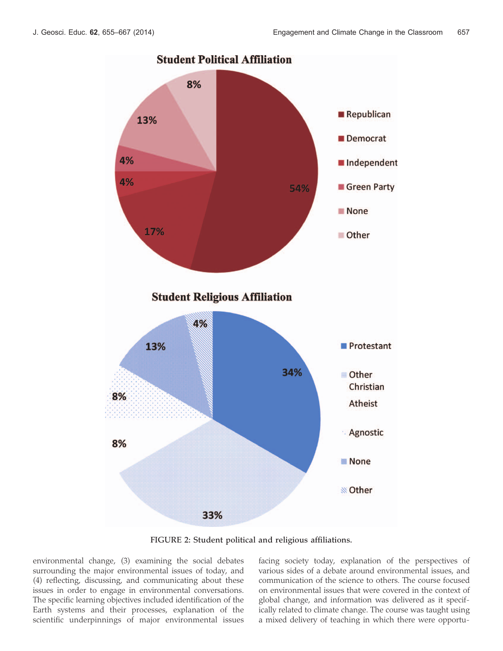

FIGURE 2: Student political and religious affiliations.

environmental change, (3) examining the social debates surrounding the major environmental issues of today, and (4) reflecting, discussing, and communicating about these issues in order to engage in environmental conversations. The specific learning objectives included identification of the Earth systems and their processes, explanation of the scientific underpinnings of major environmental issues

facing society today, explanation of the perspectives of various sides of a debate around environmental issues, and communication of the science to others. The course focused on environmental issues that were covered in the context of global change, and information was delivered as it specifically related to climate change. The course was taught using a mixed delivery of teaching in which there were opportu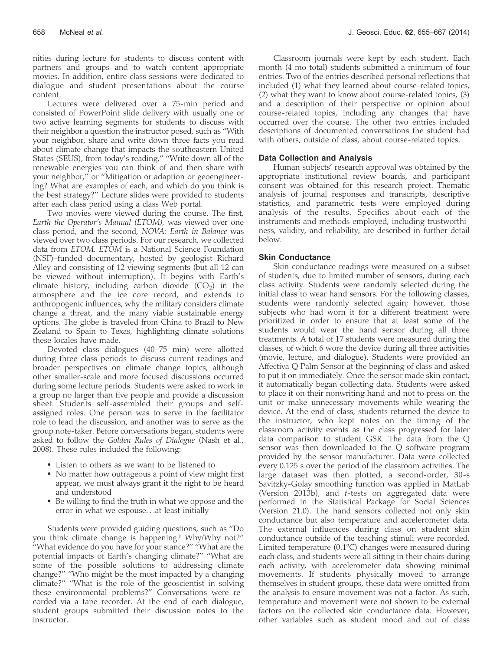nities during lecture for students to discuss content with partners and groups and to watch content appropriate movies. In addition, entire class sessions were dedicated to dialogue and student presentations about the course content.

Lectures were delivered over a 75-min period and consisted of PowerPoint slide delivery with usually one or two active learning segments for students to discuss with their neighbor a question the instructor posed, such as ''With your neighbor, share and write down three facts you read about climate change that impacts the southeastern United States (SEUS), from today's reading,'' ''Write down all of the renewable energies you can think of and then share with your neighbor,'' or ''Mitigation or adaption or geoengineering? What are examples of each, and which do you think is the best strategy?'' Lecture slides were provided to students after each class period using a class Web portal.

Two movies were viewed during the course. The first, Earth the Operator's Manual (ETOM), was viewed over one class period, and the second, NOVA: Earth in Balance was viewed over two class periods. For our research, we collected data from ETOM. ETOM is a National Science Foundation (NSF)–funded documentary, hosted by geologist Richard Alley and consisting of 12 viewing segments (but all 12 can be viewed without interruption). It begins with Earth's climate history, including carbon dioxide  $(CO_2)$  in the atmosphere and the ice core record, and extends to anthropogenic influences, why the military considers climate change a threat, and the many viable sustainable energy options. The globe is traveled from China to Brazil to New Zealand to Spain to Texas, highlighting climate solutions these locales have made.

Devoted class dialogues (40–75 min) were allotted during three class periods to discuss current readings and broader perspectives on climate change topics, although other smaller-scale and more focused discussions occurred during some lecture periods. Students were asked to work in a group no larger than five people and provide a discussion sheet. Students self-assembled their groups and selfassigned roles. One person was to serve in the facilitator role to lead the discussion, and another was to serve as the group note-taker. Before conversations began, students were asked to follow the Golden Rules of Dialogue (Nash et al., 2008). These rules included the following:

- Listen to others as we want to be listened to
- No matter how outrageous a point of view might first appear, we must always grant it the right to be heard and understood
- Be willing to find the truth in what we oppose and the error in what we espouse. . .at least initially

Students were provided guiding questions, such as ''Do you think climate change is happening? Why/Why not?'' ''What evidence do you have for your stance?'' ''What are the potential impacts of Earth's changing climate?'' ''What are some of the possible solutions to addressing climate change?'' ''Who might be the most impacted by a changing climate?'' ''What is the role of the geoscientist in solving these environmental problems?'' Conversations were recorded via a tape recorder. At the end of each dialogue, student groups submitted their discussion notes to the instructor.

Classroom journals were kept by each student. Each month (4 mo total) students submitted a minimum of four entries. Two of the entries described personal reflections that included (1) what they learned about course-related topics, (2) what they want to know about course-related topics, (3) and a description of their perspective or opinion about course-related topics, including any changes that have occurred over the course. The other two entries included descriptions of documented conversations the student had with others, outside of class, about course-related topics.

#### Data Collection and Analysis

Human subjects' research approval was obtained by the appropriate institutional review boards, and participant consent was obtained for this research project. Thematic analysis of journal responses and transcripts, descriptive statistics, and parametric tests were employed during analysis of the results. Specifics about each of the instruments and methods employed, including trustworthiness, validity, and reliability, are described in further detail below.

#### Skin Conductance

Skin conductance readings were measured on a subset of students, due to limited number of sensors, during each class activity. Students were randomly selected during the initial class to wear hand sensors. For the following classes, students were randomly selected again; however, those subjects who had worn it for a different treatment were prioritized in order to ensure that at least some of the students would wear the hand sensor during all three treatments. A total of 17 students were measured during the classes, of which 6 wore the device during all three activities (movie, lecture, and dialogue). Students were provided an Affectiva Q Palm Sensor at the beginning of class and asked to put it on immediately. Once the sensor made skin contact, it automatically began collecting data. Students were asked to place it on their nonwriting hand and not to press on the unit or make unnecessary movements while wearing the device. At the end of class, students returned the device to the instructor, who kept notes on the timing of the classroom activity events as the class progressed for later data comparison to student GSR. The data from the Q sensor was then downloaded to the Q software program provided by the sensor manufacturer. Data were collected every 0.125 s over the period of the classroom activities. The large dataset was then plotted, a second-order, 30-s Savitzky-Golay smoothing function was applied in MatLab (Version 2013b), and t-tests on aggregated data were performed in the Statistical Package for Social Sciences (Version 21.0). The hand sensors collected not only skin conductance but also temperature and accelerometer data. The external influences during class on student skin conductance outside of the teaching stimuli were recorded. Limited temperature  $(0.1^{\circ}C)$  changes were measured during each class, and students were all sitting in their chairs during each activity, with accelerometer data showing minimal movements. If students physically moved to arrange themselves in student groups, these data were omitted from the analysis to ensure movement was not a factor. As such, temperature and movement were not shown to be external factors on the collected skin conductance data. However, other variables such as student mood and out of class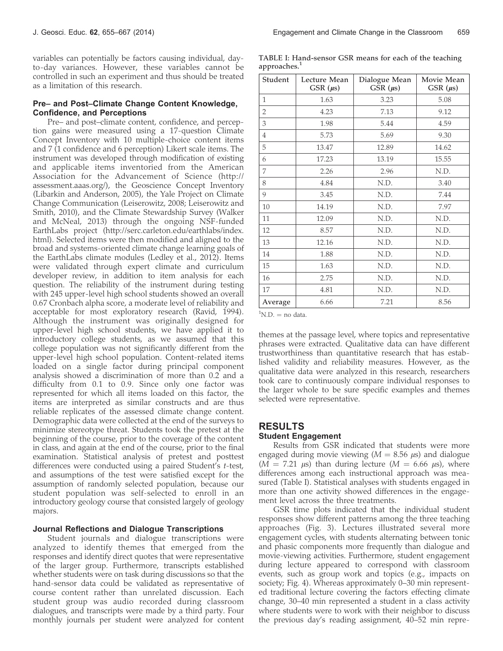variables can potentially be factors causing individual, dayto-day variances. However, these variables cannot be controlled in such an experiment and thus should be treated as a limitation of this research.

#### Pre– and Post–Climate Change Content Knowledge, Confidence, and Perceptions

Pre– and post–climate content, confidence, and perception gains were measured using a 17-question Climate Concept Inventory with 10 multiple-choice content items and 7 (1 confidence and 6 perception) Likert scale items. The instrument was developed through modification of existing and applicable items inventoried from the American Association for the Advancement of Science (http:// assessment.aaas.org/), the Geoscience Concept Inventory (Libarkin and Anderson, 2005), the Yale Project on Climate Change Communication (Leiserowitz, 2008; Leiserowitz and Smith, 2010), and the Climate Stewardship Survey (Walker and McNeal, 2013) through the ongoing NSF-funded EarthLabs project (http://serc.carleton.edu/earthlabs/index. html). Selected items were then modified and aligned to the broad and systems-oriented climate change learning goals of the EarthLabs climate modules (Ledley et al., 2012). Items were validated through expert climate and curriculum developer review, in addition to item analysis for each question. The reliability of the instrument during testing with 245 upper-level high school students showed an overall 0.67 Cronbach alpha score, a moderate level of reliability and acceptable for most exploratory research (Ravid, 1994). Although the instrument was originally designed for upper-level high school students, we have applied it to introductory college students, as we assumed that this college population was not significantly different from the upper-level high school population. Content-related items loaded on a single factor during principal component analysis showed a discrimination of more than 0.2 and a difficulty from 0.1 to 0.9. Since only one factor was represented for which all items loaded on this factor, the items are interpreted as similar constructs and are thus reliable replicates of the assessed climate change content. Demographic data were collected at the end of the surveys to minimize stereotype threat. Students took the pretest at the beginning of the course, prior to the coverage of the content in class, and again at the end of the course, prior to the final examination. Statistical analysis of pretest and posttest differences were conducted using a paired Student's t-test, and assumptions of the test were satisfied except for the assumption of randomly selected population, because our student population was self-selected to enroll in an introductory geology course that consisted largely of geology majors.

#### Journal Reflections and Dialogue Transcriptions

Student journals and dialogue transcriptions were analyzed to identify themes that emerged from the responses and identify direct quotes that were representative of the larger group. Furthermore, transcripts established whether students were on task during discussions so that the hand-sensor data could be validated as representative of course content rather than unrelated discussion. Each student group was audio recorded during classroom dialogues, and transcripts were made by a third party. Four monthly journals per student were analyzed for content

TABLE I: Hand-sensor GSR means for each of the teaching approaches.<sup>1</sup>

| Student | Lecture Mean<br>$GSR(\mu s)$ | Dialogue Mean<br>$GSR(\mu s)$ | Movie Mean<br>$GSR(\mu s)$ |  |
|---------|------------------------------|-------------------------------|----------------------------|--|
| 1       | 1.63                         | 3.23                          | 5.08                       |  |
| 2       | 4.23                         | 7.13                          | 9.12                       |  |
| 3       | 1.98                         | 5.44                          | 4.59                       |  |
| 4       | 5.73                         | 5.69                          | 9.30                       |  |
| 5       | 13.47                        | 12.89                         | 14.62                      |  |
| 6       | 17.23                        | 13.19                         | 15.55                      |  |
| 7       | 2.26                         | 2.96                          | N.D.                       |  |
| 8       | 4.84                         | N.D.                          | 3.40                       |  |
| 9       | 3.45                         | N.D.                          | 7.44                       |  |
| 10      | 14.19                        | N.D.                          | 7.97                       |  |
| 11      | 12.09                        | N.D.                          | N.D.                       |  |
| 12      | 8.57                         | N.D.                          | N.D.                       |  |
| 13      | 12.16                        | N.D.                          | N.D.                       |  |
| 14      | 1.88                         | N.D.                          | N.D.                       |  |
| 15      | 1.63                         | N.D.                          | N.D.                       |  |
| 16      | 2.75                         | N.D.                          | N.D.                       |  |
| 17      | 4.81                         | N.D.                          | N.D.                       |  |
| Average | 6.66                         | 7.21                          | 8.56                       |  |

 ${}^{1}$ N.D. = no data.

themes at the passage level, where topics and representative phrases were extracted. Qualitative data can have different trustworthiness than quantitative research that has established validity and reliability measures. However, as the qualitative data were analyzed in this research, researchers took care to continuously compare individual responses to the larger whole to be sure specific examples and themes selected were representative.

#### RESULTS

#### Student Engagement

Results from GSR indicated that students were more engaged during movie viewing ( $M = 8.56 \mu s$ ) and dialogue ( $M = 7.21 \mu s$ ) than during lecture ( $M = 6.66 \mu s$ ), where differences among each instructional approach was measured (Table I). Statistical analyses with students engaged in more than one activity showed differences in the engagement level across the three treatments.

GSR time plots indicated that the individual student responses show different patterns among the three teaching approaches (Fig. 3). Lectures illustrated several more engagement cycles, with students alternating between tonic and phasic components more frequently than dialogue and movie-viewing activities. Furthermore, student engagement during lecture appeared to correspond with classroom events, such as group work and topics (e.g., impacts on society; Fig. 4). Whereas approximately 0–30 min represented traditional lecture covering the factors effecting climate change, 30–40 min represented a student in a class activity where students were to work with their neighbor to discuss the previous day's reading assignment, 40–52 min repre-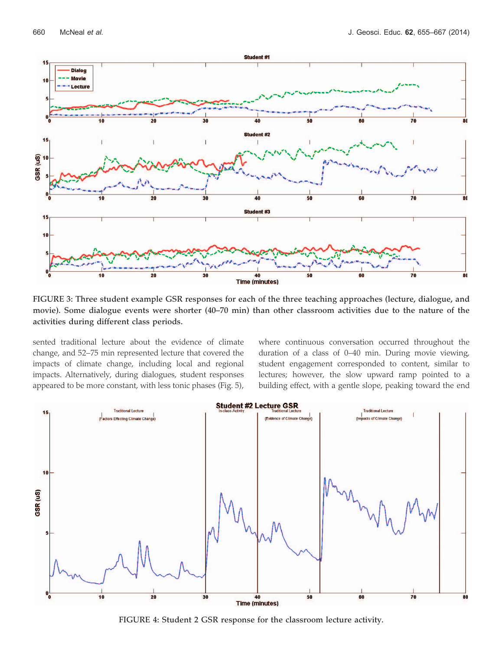

FIGURE 3: Three student example GSR responses for each of the three teaching approaches (lecture, dialogue, and movie). Some dialogue events were shorter (40–70 min) than other classroom activities due to the nature of the activities during different class periods.

sented traditional lecture about the evidence of climate change, and 52–75 min represented lecture that covered the impacts of climate change, including local and regional impacts. Alternatively, during dialogues, student responses appeared to be more constant, with less tonic phases (Fig. 5), where continuous conversation occurred throughout the duration of a class of 0–40 min. During movie viewing, student engagement corresponded to content, similar to lectures; however, the slow upward ramp pointed to a building effect, with a gentle slope, peaking toward the end



FIGURE 4: Student 2 GSR response for the classroom lecture activity.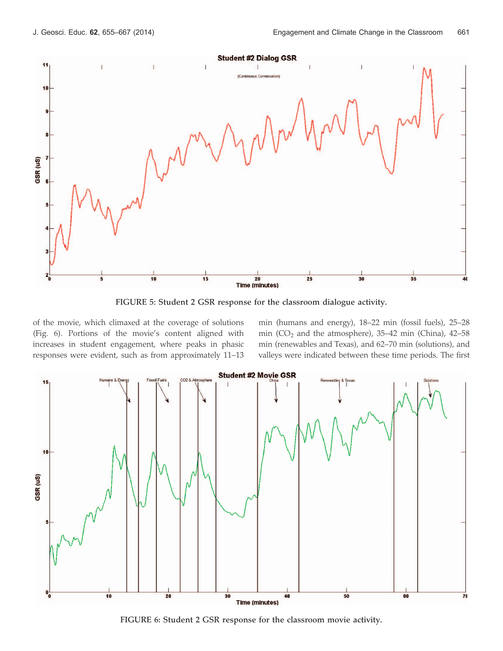

FIGURE 5: Student 2 GSR response for the classroom dialogue activity.

of the movie, which climaxed at the coverage of solutions (Fig. 6). Portions of the movie's content aligned with increases in student engagement, where peaks in phasic responses were evident, such as from approximately 11–13 min (humans and energy), 18–22 min (fossil fuels), 25–28 min  $(CO<sub>2</sub>$  and the atmosphere), 35–42 min (China), 42–58 min (renewables and Texas), and 62–70 min (solutions), and valleys were indicated between these time periods. The first



FIGURE 6: Student 2 GSR response for the classroom movie activity.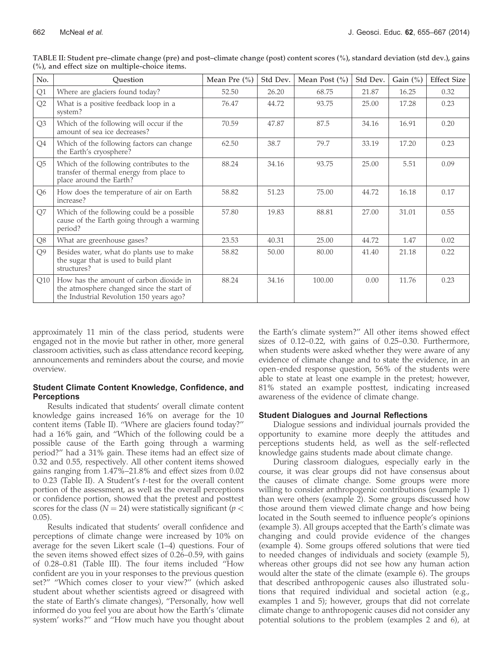| No.            | Question                                                                                                                         | Mean Pre $(\% )$ | Std Dev. | Mean Post $(\% )$ | Std Dev. | Gain $(\% )$ | <b>Effect Size</b> |
|----------------|----------------------------------------------------------------------------------------------------------------------------------|------------------|----------|-------------------|----------|--------------|--------------------|
| Q1             | Where are glaciers found today?                                                                                                  | 52.50            | 26.20    | 68.75             | 21.87    | 16.25        | 0.32               |
| Q2             | What is a positive feedback loop in a<br>system?                                                                                 | 76.47            | 44.72    | 93.75             | 25.00    | 17.28        | 0.23               |
| Q <sub>3</sub> | Which of the following will occur if the<br>amount of sea ice decreases?                                                         | 70.59            | 47.87    | 87.5              | 34.16    | 16.91        | 0.20               |
| Q4             | Which of the following factors can change<br>the Earth's cryosphere?                                                             | 62.50            | 38.7     | 79.7              | 33.19    | 17.20        | 0.23               |
| Q5             | Which of the following contributes to the<br>transfer of thermal energy from place to<br>place around the Earth?                 | 88.24            | 34.16    | 93.75             | 25.00    | 5.51         | 0.09               |
| Q <sub>6</sub> | How does the temperature of air on Earth<br>increase?                                                                            | 58.82            | 51.23    | 75.00             | 44.72    | 16.18        | 0.17               |
| Q7             | Which of the following could be a possible<br>cause of the Earth going through a warming<br>period?                              | 57.80            | 19.83    | 88.81             | 27.00    | 31.01        | 0.55               |
| Q8             | What are greenhouse gases?                                                                                                       | 23.53            | 40.31    | 25.00             | 44.72    | 1.47         | 0.02               |
| Q <sup>9</sup> | Besides water, what do plants use to make<br>the sugar that is used to build plant<br>structures?                                | 58.82            | 50.00    | 80.00             | 41.40    | 21.18        | 0.22               |
| Q10            | How has the amount of carbon dioxide in<br>the atmosphere changed since the start of<br>the Industrial Revolution 150 years ago? | 88.24            | 34.16    | 100.00            | 0.00     | 11.76        | 0.23               |

| TABLE II: Student pre-climate change (pre) and post-climate change (post) content scores (%), standard deviation (std dev.), gains |  |  |
|------------------------------------------------------------------------------------------------------------------------------------|--|--|
| $\left(\% \right)$ , and effect size on multiple-choice items.                                                                     |  |  |

approximately 11 min of the class period, students were engaged not in the movie but rather in other, more general classroom activities, such as class attendance record keeping, announcements and reminders about the course, and movie overview.

#### Student Climate Content Knowledge, Confidence, and **Perceptions**

Results indicated that students' overall climate content knowledge gains increased 16% on average for the 10 content items (Table II). ''Where are glaciers found today?'' had a 16% gain, and ''Which of the following could be a possible cause of the Earth going through a warming period?'' had a 31% gain. These items had an effect size of 0.32 and 0.55, respectively. All other content items showed gains ranging from 1.47%–21.8% and effect sizes from 0.02 to 0.23 (Table II). A Student's t-test for the overall content portion of the assessment, as well as the overall perceptions or confidence portion, showed that the pretest and posttest scores for the class ( $N = 24$ ) were statistically significant ( $p <$ 0.05).

Results indicated that students' overall confidence and perceptions of climate change were increased by 10% on average for the seven Likert scale (1–4) questions. Four of the seven items showed effect sizes of 0.26–0.59, with gains of 0.28–0.81 (Table III). The four items included ''How confident are you in your responses to the previous question set?'' ''Which comes closer to your view?'' (which asked student about whether scientists agreed or disagreed with the state of Earth's climate changes), ''Personally, how well informed do you feel you are about how the Earth's 'climate system' works?'' and ''How much have you thought about

the Earth's climate system?'' All other items showed effect sizes of 0.12–0.22, with gains of 0.25–0.30. Furthermore, when students were asked whether they were aware of any evidence of climate change and to state the evidence, in an open-ended response question, 56% of the students were able to state at least one example in the pretest; however, 81% stated an example posttest, indicating increased awareness of the evidence of climate change.

#### Student Dialogues and Journal Reflections

Dialogue sessions and individual journals provided the opportunity to examine more deeply the attitudes and perceptions students held, as well as the self-reflected knowledge gains students made about climate change.

During classroom dialogues, especially early in the course, it was clear groups did not have consensus about the causes of climate change. Some groups were more willing to consider anthropogenic contributions (example 1) than were others (example 2). Some groups discussed how those around them viewed climate change and how being located in the South seemed to influence people's opinions (example 3). All groups accepted that the Earth's climate was changing and could provide evidence of the changes (example 4). Some groups offered solutions that were tied to needed changes of individuals and society (example 5), whereas other groups did not see how any human action would alter the state of the climate (example 6). The groups that described anthropogenic causes also illustrated solutions that required individual and societal action (e.g., examples 1 and 5); however, groups that did not correlate climate change to anthropogenic causes did not consider any potential solutions to the problem (examples 2 and 6), at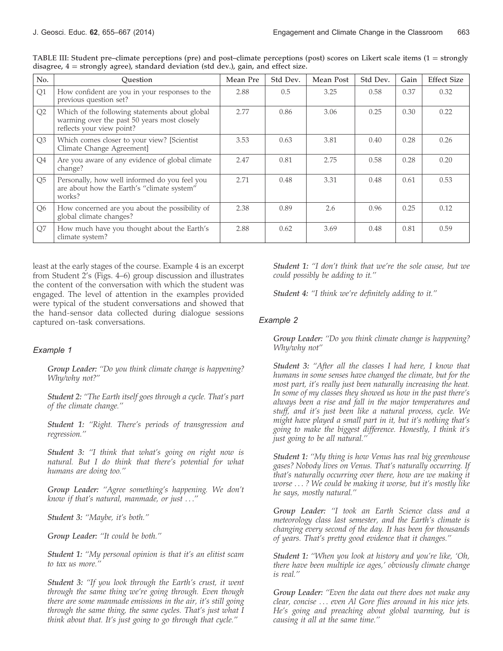| No.            | <b>Ouestion</b>                                                                                                            | Mean Pre | Std Dev. | Mean Post | Std Dev. | Gain | <b>Effect Size</b> |
|----------------|----------------------------------------------------------------------------------------------------------------------------|----------|----------|-----------|----------|------|--------------------|
| Q1             | How confident are you in your responses to the<br>previous question set?                                                   | 2.88     | 0.5      | 3.25      | 0.58     | 0.37 | 0.32               |
| Q2             | Which of the following statements about global<br>warming over the past 50 years most closely<br>reflects your view point? | 2.77     | 0.86     | 3.06      | 0.25     | 0.30 | 0.22               |
| Q <sub>3</sub> | Which comes closer to your view? [Scientist<br>Climate Change Agreement]                                                   | 3.53     | 0.63     | 3.81      | 0.40     | 0.28 | 0.26               |
| Q4             | Are you aware of any evidence of global climate<br>change?                                                                 | 2.47     | 0.81     | 2.75      | 0.58     | 0.28 | 0.20               |
| Q5             | Personally, how well informed do you feel you<br>are about how the Earth's "climate system"<br>works?                      | 2.71     | 0.48     | 3.31      | 0.48     | 0.61 | 0.53               |
| Q6             | How concerned are you about the possibility of<br>global climate changes?                                                  | 2.38     | 0.89     | 2.6       | 0.96     | 0.25 | 0.12               |
| Q7             | How much have you thought about the Earth's<br>climate system?                                                             | 2.88     | 0.62     | 3.69      | 0.48     | 0.81 | 0.59               |

TABLE III: Student pre–climate perceptions (pre) and post–climate perceptions (post) scores on Likert scale items  $(1 = \text{strongly})$ disagree,  $4 =$  strongly agree), standard deviation (std dev.), gain, and effect size.

least at the early stages of the course. Example 4 is an excerpt from Student 2's (Figs. 4–6) group discussion and illustrates the content of the conversation with which the student was engaged. The level of attention in the examples provided were typical of the student conversations and showed that the hand-sensor data collected during dialogue sessions captured on-task conversations.

# Example 1

Group Leader: ''Do you think climate change is happening? Why/why not?''

Student 2: ''The Earth itself goes through a cycle. That's part of the climate change.''

Student 1: "Right. There's periods of transgression and regression.''

Student 3: "I think that what's going on right now is natural. But I do think that there's potential for what humans are doing too.''

Group Leader: ''Agree something's happening. We don't know if that's natural, manmade, or just ...''

Student 3: ''Maybe, it's both.''

Group Leader: ''It could be both.''

Student 1: "My personal opinion is that it's an elitist scam to tax us more.''

Student 3: ''If you look through the Earth's crust, it went through the same thing we're going through. Even though there are some manmade emissions in the air, it's still going through the same thing, the same cycles. That's just what I think about that. It's just going to go through that cycle.''

Student 1: ''I don't think that we're the sole cause, but we could possibly be adding to it.''

Student 4: ''I think we're definitely adding to it.''

### Example 2

Group Leader: ''Do you think climate change is happening? Why/why not''

Student 3: ''After all the classes I had here, I know that humans in some senses have changed the climate, but for the most part, it's really just been naturally increasing the heat. In some of my classes they showed us how in the past there's always been a rise and fall in the major temperatures and stuff, and it's just been like a natural process, cycle. We might have played a small part in it, but it's nothing that's going to make the biggest difference. Honestly, I think it's just going to be all natural.''

Student 1: ''My thing is how Venus has real big greenhouse gases? Nobody lives on Venus. That's naturally occurring. If that's naturally occurring over there, how are we making it worse ... ? We could be making it worse, but it's mostly like he says, mostly natural.''

Group Leader: ''I took an Earth Science class and a meteorology class last semester, and the Earth's climate is changing every second of the day. It has been for thousands of years. That's pretty good evidence that it changes.''

Student 1: ''When you look at history and you're like, 'Oh, there have been multiple ice ages,' obviously climate change is real.''

Group Leader: ''Even the data out there does not make any clear, concise ... even Al Gore flies around in his nice jets. He's going and preaching about global warming, but is causing it all at the same time.''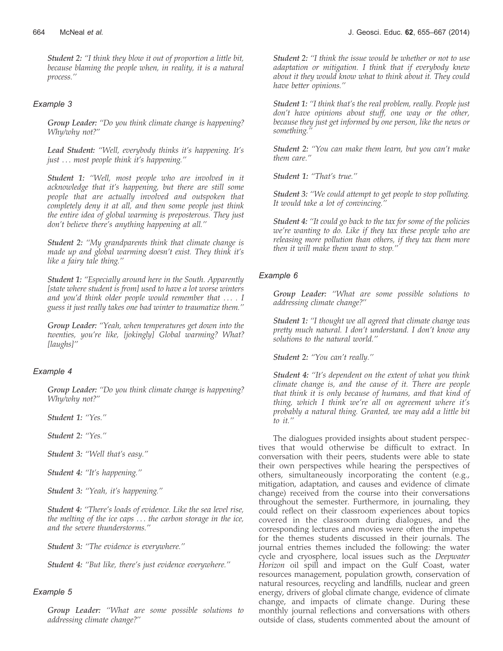Student 2: ''I think they blow it out of proportion a little bit, because blaming the people when, in reality, it is a natural process.''

#### Example 3

Group Leader: ''Do you think climate change is happening? Why/why not?''

Lead Student: ''Well, everybody thinks it's happening. It's just ... most people think it's happening.''

Student 1: "Well, most people who are involved in it acknowledge that it's happening, but there are still some people that are actually involved and outspoken that completely deny it at all, and then some people just think the entire idea of global warming is preposterous. They just don't believe there's anything happening at all.''

Student 2: ''My grandparents think that climate change is made up and global warming doesn't exist. They think it's like a fairy tale thing.''

Student 1: ''Especially around here in the South. Apparently [state where student is from] used to have a lot worse winters and you'd think older people would remember that ... . I guess it just really takes one bad winter to traumatize them.''

Group Leader: ''Yeah, when temperatures get down into the twenties, you're like, [jokingly] Global warming? What? [laughs]''

#### Example 4

Group Leader: ''Do you think climate change is happening? Why/why not?''

Student 1: "Yes."

Student 2: ''Yes.''

Student 3: ''Well that's easy.''

Student 4: ''It's happening.''

Student 3: ''Yeah, it's happening.''

Student 4: ''There's loads of evidence. Like the sea level rise, the melting of the ice caps ... the carbon storage in the ice, and the severe thunderstorms.''

Student 3: ''The evidence is everywhere.''

Student 4: ''But like, there's just evidence everywhere.''

#### Example 5

Group Leader: ''What are some possible solutions to addressing climate change?''

Student 2: ''I think the issue would be whether or not to use adaptation or mitigation. I think that if everybody knew about it they would know what to think about it. They could have better opinions.''

Student 1: ''I think that's the real problem, really. People just don't have opinions about stuff, one way or the other, because they just get informed by one person, like the news or something.''

Student 2: ''You can make them learn, but you can't make them care.''

Student 1: ''That's true.''

Student 3: "We could attempt to get people to stop polluting. It would take a lot of convincing.''

Student 4: ''It could go back to the tax for some of the policies we're wanting to do. Like if they tax these people who are releasing more pollution than others, if they tax them more then it will make them want to stop.''

### Example 6

Group Leader: ''What are some possible solutions to addressing climate change?''

Student 1: ''I thought we all agreed that climate change was pretty much natural. I don't understand. I don't know any solutions to the natural world.''

Student 2: ''You can't really.''

Student 4: ''It's dependent on the extent of what you think climate change is, and the cause of it. There are people that think it is only because of humans, and that kind of thing, which I think we're all on agreement where it's probably a natural thing. Granted, we may add a little bit to it.''

The dialogues provided insights about student perspectives that would otherwise be difficult to extract. In conversation with their peers, students were able to state their own perspectives while hearing the perspectives of others, simultaneously incorporating the content (e.g., mitigation, adaptation, and causes and evidence of climate change) received from the course into their conversations throughout the semester. Furthermore, in journaling, they could reflect on their classroom experiences about topics covered in the classroom during dialogues, and the corresponding lectures and movies were often the impetus for the themes students discussed in their journals. The journal entries themes included the following: the water cycle and cryosphere, local issues such as the Deepwater Horizon oil spill and impact on the Gulf Coast, water resources management, population growth, conservation of natural resources, recycling and landfills, nuclear and green energy, drivers of global climate change, evidence of climate change, and impacts of climate change. During these monthly journal reflections and conversations with others outside of class, students commented about the amount of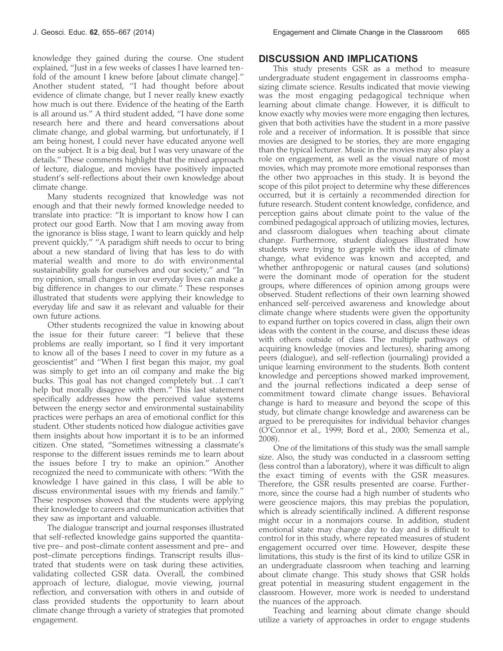knowledge they gained during the course. One student explained, ''Just in a few weeks of classes I have learned tenfold of the amount I knew before [about climate change].'' Another student stated, ''I had thought before about evidence of climate change, but I never really knew exactly how much is out there. Evidence of the heating of the Earth is all around us.'' A third student added, ''I have done some research here and there and heard conversations about climate change, and global warming, but unfortunately, if I am being honest, I could never have educated anyone well on the subject. It is a big deal, but I was very unaware of the details.'' These comments highlight that the mixed approach of lecture, dialogue, and movies have positively impacted student's self-reflections about their own knowledge about climate change.

Many students recognized that knowledge was not enough and that their newly formed knowledge needed to translate into practice: ''It is important to know how I can protect our good Earth. Now that I am moving away from the ignorance is bliss stage, I want to learn quickly and help prevent quickly,'' ''A paradigm shift needs to occur to bring about a new standard of living that has less to do with material wealth and more to do with environmental sustainability goals for ourselves and our society," and "In my opinion, small changes in our everyday lives can make a big difference in changes to our climate.'' These responses illustrated that students were applying their knowledge to everyday life and saw it as relevant and valuable for their own future actions.

Other students recognized the value in knowing about the issue for their future career: ''I believe that these problems are really important, so I find it very important to know all of the bases I need to cover in my future as a geoscientist'' and ''When I first began this major, my goal was simply to get into an oil company and make the big bucks. This goal has not changed completely but. . .I can't help but morally disagree with them.'' This last statement specifically addresses how the perceived value systems between the energy sector and environmental sustainability practices were perhaps an area of emotional conflict for this student. Other students noticed how dialogue activities gave them insights about how important it is to be an informed citizen. One stated, ''Sometimes witnessing a classmate's response to the different issues reminds me to learn about the issues before I try to make an opinion.'' Another recognized the need to communicate with others: ''With the knowledge I have gained in this class, I will be able to discuss environmental issues with my friends and family.'' These responses showed that the students were applying their knowledge to careers and communication activities that they saw as important and valuable.

The dialogue transcript and journal responses illustrated that self-reflected knowledge gains supported the quantitative pre– and post–climate content assessment and pre– and post–climate perceptions findings. Transcript results illustrated that students were on task during these activities, validating collected GSR data. Overall, the combined approach of lecture, dialogue, movie viewing, journal reflection, and conversation with others in and outside of class provided students the opportunity to learn about climate change through a variety of strategies that promoted engagement.

# DISCUSSION AND IMPLICATIONS

This study presents GSR as a method to measure undergraduate student engagement in classrooms emphasizing climate science. Results indicated that movie viewing was the most engaging pedagogical technique when learning about climate change. However, it is difficult to know exactly why movies were more engaging then lectures, given that both activities have the student in a more passive role and a receiver of information. It is possible that since movies are designed to be stories, they are more engaging than the typical lecturer. Music in the movies may also play a role on engagement, as well as the visual nature of most movies, which may promote more emotional responses than the other two approaches in this study. It is beyond the scope of this pilot project to determine why these differences occurred, but it is certainly a recommended direction for future research. Student content knowledge, confidence, and perception gains about climate point to the value of the combined pedagogical approach of utilizing movies, lectures, and classroom dialogues when teaching about climate change. Furthermore, student dialogues illustrated how students were trying to grapple with the idea of climate change, what evidence was known and accepted, and whether anthropogenic or natural causes (and solutions) were the dominant mode of operation for the student groups, where differences of opinion among groups were observed. Student reflections of their own learning showed enhanced self-perceived awareness and knowledge about climate change where students were given the opportunity to expand further on topics covered in class, align their own ideas with the content in the course, and discuss these ideas with others outside of class. The multiple pathways of acquiring knowledge (movies and lectures), sharing among peers (dialogue), and self-reflection (journaling) provided a unique learning environment to the students. Both content knowledge and perceptions showed marked improvement, and the journal reflections indicated a deep sense of commitment toward climate change issues. Behavioral change is hard to measure and beyond the scope of this study, but climate change knowledge and awareness can be argued to be prerequisites for individual behavior changes (O'Connor et al., 1999; Bord et al., 2000; Semenza et al., 2008).

One of the limitations of this study was the small sample size. Also, the study was conducted in a classroom setting (less control than a laboratory), where it was difficult to align the exact timing of events with the GSR measures. Therefore, the GSR results presented are coarse. Furthermore, since the course had a high number of students who were geoscience majors, this may prebias the population, which is already scientifically inclined. A different response might occur in a nonmajors course. In addition, student emotional state may change day to day and is difficult to control for in this study, where repeated measures of student engagement occurred over time. However, despite these limitations, this study is the first of its kind to utilize GSR in an undergraduate classroom when teaching and learning about climate change. This study shows that GSR holds great potential in measuring student engagement in the classroom. However, more work is needed to understand the nuances of the approach.

Teaching and learning about climate change should utilize a variety of approaches in order to engage students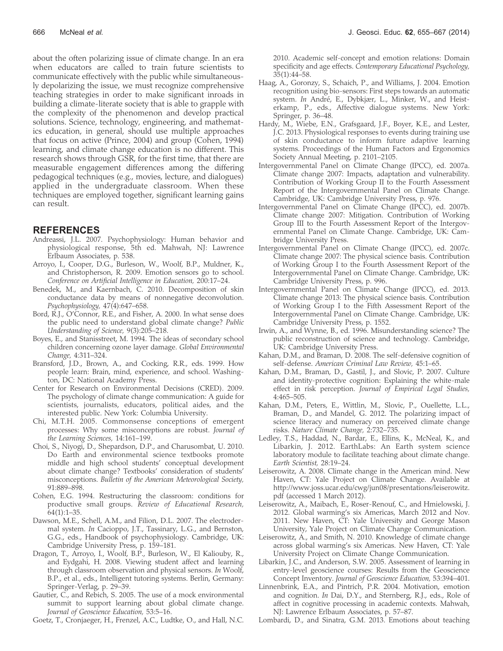about the often polarizing issue of climate change. In an era when educators are called to train future scientists to communicate effectively with the public while simultaneously depolarizing the issue, we must recognize comprehensive teaching strategies in order to make significant inroads in building a climate-literate society that is able to grapple with the complexity of the phenomenon and develop practical solutions. Science, technology, engineering, and mathematics education, in general, should use multiple approaches that focus on active (Prince, 2004) and group (Cohen, 1994) learning, and climate change education is no different. This research shows through GSR, for the first time, that there are measurable engagement differences among the differing pedagogical techniques (e.g., movies, lecture, and dialogues) applied in the undergraduate classroom. When these techniques are employed together, significant learning gains can result.

#### REFERENCES

- Andreassi, J.L. 2007. Psychophysiology: Human behavior and physiological response, 5th ed. Mahwah, NJ: Lawrence Erlbaum Associates, p. 538.
- Arroyo, I., Cooper, D.G., Burleson, W., Woolf, B.P., Muldner, K., and Christopherson, R. 2009. Emotion sensors go to school. Conference on Artificial Intelligence in Education, 200:17–24.
- Benedek, M., and Kaernbach, C. 2010. Decomposition of skin conductance data by means of nonnegative deconvolution. Psychophysiology, 47(4):647–658.
- Bord, R.J., O'Connor, R.E., and Fisher, A. 2000. In what sense does the public need to understand global climate change? Public Understanding of Science, 9(3):205–218.
- Boyes, E., and Stanisstreet, M. 1994. The ideas of secondary school children concerning ozone layer damage. Global Environmental Change, 4:311–324.
- Bransford, J.D., Brown, A., and Cocking, R.R., eds. 1999. How people learn: Brain, mind, experience, and school. Washington, DC: National Academy Press.
- Center for Research on Environmental Decisions (CRED). 2009. The psychology of climate change communication: A guide for scientists, journalists, educators, political aides, and the interested public. New York: Columbia University.
- Chi, M.T.H. 2005. Commonsense conceptions of emergent processes: Why some misconceptions are robust. Journal of the Learning Sciences, 14:161–199.
- Choi, S., Niyogi, D., Shepardson, D.P., and Charusombat, U. 2010. Do Earth and environmental science textbooks promote middle and high school students' conceptual development about climate change? Textbooks' consideration of students' misconceptions. Bulletin of the American Meteorological Society, 91:889–898.
- Cohen, E.G. 1994. Restructuring the classroom: conditions for productive small groups. Review of Educational Research, 64(1):1–35.
- Dawson, M.E., Schell, A.M., and Filion, D.L. 2007. The electrodermal system. In Cacioppo, J.T., Tassinary, L.G., and Bernston, G.G., eds., Handbook of psychophysiology. Cambridge, UK: Cambridge University Press, p. 159–181.
- Dragon, T., Arroyo, I., Woolf, B.P., Burleson, W., El Kaliouby, R., and Eydgahi, H. 2008. Viewing student affect and learning through classroom observation and physical sensors. In Woolf, B.P., et al., eds., Intelligent tutoring systems. Berlin, Germany: Springer-Verlag, p. 29–39.
- Gautier, C., and Rebich, S. 2005. The use of a mock environmental summit to support learning about global climate change. Journal of Geoscience Education, 53:5–16.
- Goetz, T., Cronjaeger, H., Frenzel, A.C., Ludtke, O., and Hall, N.C.

2010. Academic self-concept and emotion relations: Domain specificity and age effects. Contemporary Educational Psychology, 35(1):44–58.

- Haag, A., Goronzy, S., Schaich, P., and Williams, J. 2004. Emotion recognition using bio-sensors: First steps towards an automatic system. In André, E., Dybkjær, L., Minker, W., and Heisterkamp, P., eds., Affective dialogue systems. New York: Springer, p. 36–48.
- Hardy, M., Wiebe, E.N., Grafsgaard, J.F., Boyer, K.E., and Lester, J.C. 2013. Physiological responses to events during training use of skin conductance to inform future adaptive learning systems. Proceedings of the Human Factors and Ergonomics Society Annual Meeting, p. 2101–2105.
- Intergovernmental Panel on Climate Change (IPCC), ed. 2007a. Climate change 2007: Impacts, adaptation and vulnerability. Contribution of Working Group II to the Fourth Assessment Report of the Intergovernmental Panel on Climate Change. Cambridge, UK: Cambridge University Press, p. 976.
- Intergovernmental Panel on Climate Change (IPCC), ed. 2007b. Climate change 2007: Mitigation. Contribution of Working Group III to the Fourth Assessment Report of the Intergovernmental Panel on Climate Change. Cambridge, UK: Cambridge University Press.
- Intergovernmental Panel on Climate Change (IPCC), ed. 2007c. Climate change 2007: The physical science basis. Contribution of Working Group I to the Fourth Assessment Report of the Intergovernmental Panel on Climate Change. Cambridge, UK: Cambridge University Press, p. 996.
- Intergovernmental Panel on Climate Change (IPCC), ed. 2013. Climate change 2013: The physical science basis. Contribution of Working Group I to the Fifth Assessment Report of the Intergovernmental Panel on Climate Change. Cambridge, UK: Cambridge University Press, p. 1552.
- Irwin, A., and Wynne, B., ed. 1996. Misunderstanding science? The public reconstruction of science and technology. Cambridge, UK: Cambridge University Press.
- Kahan, D.M., and Braman, D. 2008. The self-defensive cognition of self-defense. American Criminal Law Review, 45:1–65.
- Kahan, D.M., Braman, D., Gastil, J., and Slovic, P. 2007. Culture and identity-protective cognition: Explaining the white-male effect in risk perception. Journal of Empirical Legal Studies, 4:465–505.
- Kahan, D.M., Peters, E., Wittlin, M., Slovic, P., Ouellette, L.L., Braman, D., and Mandel, G. 2012. The polarizing impact of science literacy and numeracy on perceived climate change risks. Nature Climate Change, 2:732–735.
- Ledley, T.S., Haddad, N., Bardar, E., Ellins, K., McNeal, K., and Libarkin, J. 2012. EarthLabs: An Earth system science laboratory module to facilitate teaching about climate change. Earth Scientist, 28:19–24.
- Leiserowitz, A. 2008. Climate change in the American mind. New Haven, CT: Yale Project on Climate Change. Available at http://www.joss.ucar.edu/cwg/jun08/presentations/leiserowitz. pdf (accessed 1 March 2012).
- Leiserowitz, A., Maibach, E., Roser-Renouf, C., and Hmielowski, J. 2012. Global warming's six Americas, March 2012 and Nov. 2011. New Haven, CT: Yale University and George Mason University, Yale Project on Climate Change Communication.
- Leiserowitz, A., and Smith, N. 2010. Knowledge of climate change across global warming's six Americas. New Haven, CT: Yale University Project on Climate Change Communication.
- Libarkin, J.C., and Anderson, S.W. 2005. Assessment of learning in entry-level geoscience courses: Results from the Geoscience Concept Inventory. Journal of Geoscience Education, 53:394–401.
- Linnenbrink, E.A., and Pintrich, P.R. 2004. Motivation, emotion and cognition. In Dai, D.Y., and Sternberg, R.J., eds., Role of affect in cognitive processing in academic contexts. Mahwah, NJ: Lawrence Erlbaum Associates, p. 57–87.
- Lombardi, D., and Sinatra, G.M. 2013. Emotions about teaching